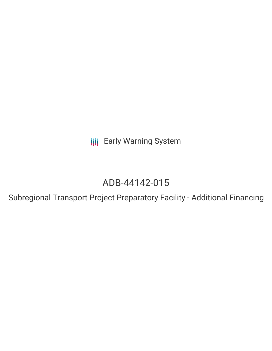**III** Early Warning System

# ADB-44142-015

Subregional Transport Project Preparatory Facility - Additional Financing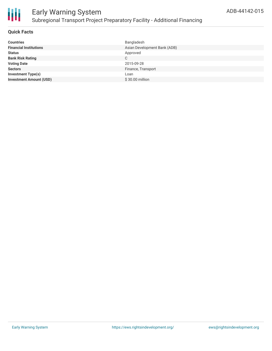

# **Quick Facts**

| <b>Countries</b>               | Bangladesh                   |
|--------------------------------|------------------------------|
| <b>Financial Institutions</b>  | Asian Development Bank (ADB) |
| <b>Status</b>                  | Approved                     |
| <b>Bank Risk Rating</b>        | C                            |
| <b>Voting Date</b>             | 2015-09-28                   |
| <b>Sectors</b>                 | Finance, Transport           |
| <b>Investment Type(s)</b>      | Loan                         |
| <b>Investment Amount (USD)</b> | \$30.00 million              |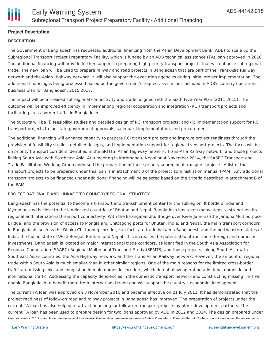

# **Project Description**

### **DESCRIPTION**

The Government of Bangladesh has requested additional financing from the Asian Development Bank (ADB) to scale up the Subregional Transport Project Preparatory Facility, which is funded by an ADB technical assistance (TA) loan approved in 2010. The additional financing will provide further support in preparing high-priority transport projects that will enhance subregional trade. The new loan will be used to prepare railway and road projects in Bangladesh that are part of the Trans-Asia Railway network and the Asian Highway network. It will also support the executing agencies during initial project implementation. The additional financing is being processed based on the government's request, as it is not included in ADB's country operations business plan for Bangladesh, 2015 2017.

The impact will be increased subregional connectivity and trade, aligned with the Sixth Five-Year Plan (2011 2015). The outcome will be improved efficiency in implementing regional cooperation and integration (RCI) transport projects and facilitating cross-border traffic in Bangladesh.

The outputs will be (i) feasibility studies and detailed design of RCI transport projects; and (ii) implementation support for RCI transport projects to facilitate government approvals, safeguard implementation, and procurement.

The additional financing will enhance capacity to prepare RCI transport projects and improve project readiness through the provision of feasibility studies, detailed designs, and implementation support for regional transport projects. The focus will be on priority transport corridors identified in the SRMTS, Asian Highway network, Trans-Asia Railway network, and those projects linking South Asia with Southeast Asia. At a meeting in Kathmandu, Nepal on 4 November 2014, the SASEC Transport and Trade Facilitation Working Group endorsed the preparation of these priority subregional transport projects. A list of the transport projects to be prepared under this loan is in attachment B of the project administration manual (PAM). Any additional transport projects to be financed under additional financing will be selected based on the criteria described in attachment B of the PAM.

### PROJECT RATIONALE AND LINKAGE TO COUNTRY/REGIONAL STRATEGY

Bangladesh has the potential to become a transport and transshipment center for the subregion. It borders India and Myanmar, and is close to the landlocked countries of Bhutan and Nepal. Bangladesh has taken many steps to strengthen its regional and international transport connectivity. With the Bhangabandhu Bridge over River Jamuna (the Jamuna Multipurpose Bridge) and the provision of access to Mongla and Chittagong ports for Bhutan, India, and Nepal, the main transport corridors in Bangladesh, such as the Dhaka Chittagong corridor, can facilitate trade between Bangladesh and the northeastern states of India, the Indian state of West Bengal, Bhutan, and Nepal. This increases the potential to attract more foreign and domestic investments. Bangladesh is located on major international trade corridors, as identified in the South Asia Association for Regional Cooperation (SAARC) Regional Multimodal Transport Study (SRMTS) and those projects linking South Asia with Southeast Asian countries, the Asia Highway network, and the Trans-Asian Railway network. However, the amount of regional trade within South Asia is much smaller than in other similar regions. One of the main reasons for the limited cross-border traffic are missing links and congestion in main domestic corridors, which do not allow operating additional domestic and international traffic. Addressing the capacity deficiencies in the domestic transport network and constructing missing links will enable Bangladesh to benefit more from international trade and will support the country's economic development.

The current TA loan was approved on 3 November 2010 and became effective on 21 July 2011. It has demonstrated that the project readiness of follow-on road and railway projects in Bangladesh has improved. The preparation of projects under the current TA loan has also helped to attract financing for follow-on transport projects by other development partners. The current TA loan has been used to prepare design for two loans approved by ADB in 2012 and 2014. The design prepared under the current TA Loan has generated interest from the governments of the Deeple's Republic of China and Japan to finance two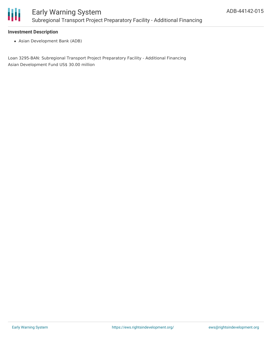

### **Investment Description**

Asian Development Bank (ADB)

Loan 3295-BAN: Subregional Transport Project Preparatory Facility - Additional Financing Asian Development Fund US\$ 30.00 million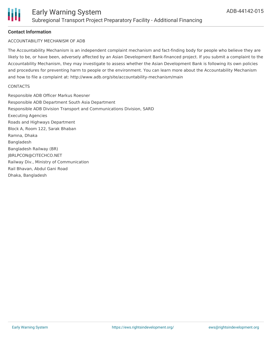

# **Contact Information**

### ACCOUNTABILITY MECHANISM OF ADB

The Accountability Mechanism is an independent complaint mechanism and fact-finding body for people who believe they are likely to be, or have been, adversely affected by an Asian Development Bank-financed project. If you submit a complaint to the Accountability Mechanism, they may investigate to assess whether the Asian Development Bank is following its own policies and procedures for preventing harm to people or the environment. You can learn more about the Accountability Mechanism and how to file a complaint at: http://www.adb.org/site/accountability-mechanism/main

#### **CONTACTS**

Responsible ADB Officer Markus Roesner Responsible ADB Department South Asia Department Responsible ADB Division Transport and Communications Division, SARD Executing Agencies Roads and Highways Department Block A, Room 122, Sarak Bhaban Ramna, Dhaka Bangladesh Bangladesh Railway (BR) JBRLPCON@CITECHCO.NET Railway Div., Ministry of Communication Rail Bhavan, Abdul Gani Road Dhaka, Bangladesh